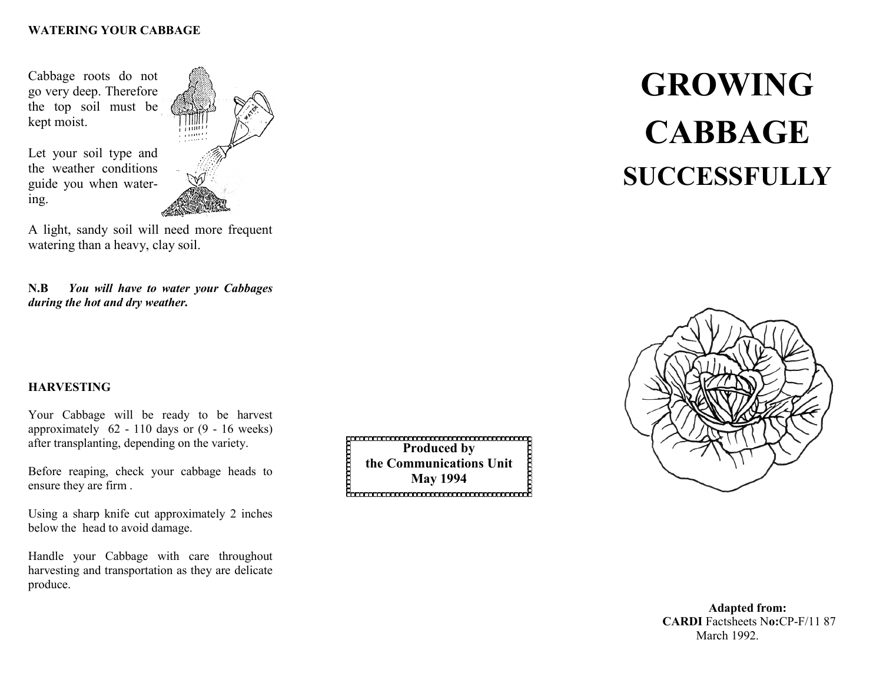#### **WATERING YOUR CABBAGE**

Cabbage roots do not go very deep. Therefore the top soil must be kept moist.

Let your soil type and the weather conditions guide you when water-

ing.



A light, sandy soil will need more frequent watering than a heavy, clay soil.

**N.B** *You will have to water your Cabbages during the hot and dry weather.*

## **HARVESTING**

Your Cabbage will be ready to be harvest approximately 62 - 110 days or (9 - 16 weeks) after transplanting, depending on the variety.

Before reaping, check your cabbage heads to ensure they are firm .

Using a sharp knife cut approximately 2 inches below the head to avoid damage.

Handle your Cabbage with care throughout harvesting and transportation as they are delicate produce.

<del>paanaanaanaanaanaanaan</del><br>Produced by **the Communications Unit May 1994**

# **GROWING CABBAGE SUCCESSFULLY**



**Adapted from: CARDI** Factsheets N**o:**CP-F/11 87 March 1992.